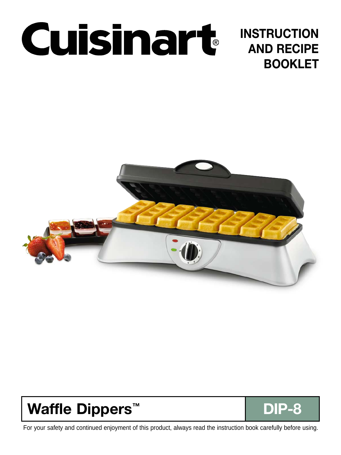

# **INSTRUCTION AND RECIPE BOOKLET**



# **Waffle Dippers™ DIP-8**

For your safety and continued enjoyment of this product, always read the instruction book carefully before using.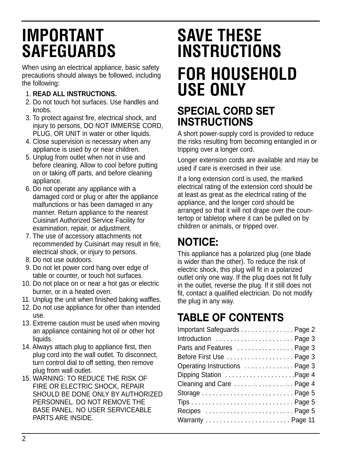# **IMPORTANT SAFEGUARDS**

When using an electrical appliance, basic safety precautions should always be followed, including the following:

### 1. **READ ALL INSTRUCTIONS.**

- 2. Do not touch hot surfaces. Use handles and knobs
- 3. To protect against fire, electrical shock, and injury to persons, DO NOT IMMERSE CORD, PLUG, OR UNIT in water or other liquids.
- 4. Close supervision is necessary when any appliance is used by or near children.
- 5. Unplug from outlet when not in use and before cleaning. Allow to cool before putting on or taking off parts, and before cleaning appliance.
- 6. Do not operate any appliance with a damaged cord or plug or after the appliance malfunctions or has been damaged in any manner. Return appliance to the nearest Cuisinart Authorized Service Facility for examination, repair, or adjustment.
- 7. The use of accessory attachments not recommended by Cuisinart may result in fire, electrical shock, or injury to persons.
- 8. Do not use outdoors.
- 9. Do not let power cord hang over edge of table or counter, or touch hot surfaces.
- 10. Do not place on or near a hot gas or electric burner, or in a heated oven.
- 11. Unplug the unit when finished baking waffles.
- 12. Do not use appliance for other than intended use.
- 13. Extreme caution must be used when moving an appliance containing hot oil or other hot liquids.
- 14. Always attach plug to appliance first, then plug cord into the wall outlet. To disconnect, turn control dial to off setting, then remove plug from wall outlet.
- 15. WARNING: TO REDUCE THE RISK OF FIRE OR ELECTRIC SHOCK, REPAIR SHOULD BE DONE ONLY BY AUTHORIZED PERSONNEL. DO NOT REMOVE THE BASE PANEL. NO USER SERVICEABLE PARTS ARE INSIDE.

# **SAVE THESE INSTRUCTIONS FOR HOUSEHOLD USE ONLY**

## **SPECIAL CORD SET INSTRUCTIONS**

A short power-supply cord is provided to reduce the risks resulting from becoming entangled in or tripping over a longer cord.

Longer extension cords are available and may be used if care is exercised in their use.

If a long extension cord is used, the marked electrical rating of the extension cord should be at least as great as the electrical rating of the appliance, and the longer cord should be arranged so that it will not drape over the countertop or tabletop where it can be pulled on by children or animals, or tripped over.

# **NOTICE:**

This appliance has a polarized plug (one blade is wider than the other). To reduce the risk of electric shock, this plug will fit in a polarized outlet only one way. If the plug does not fit fully in the outlet, reverse the plug. If it still does not fit, contact a qualified electrician. Do not modify the plug in any way.

# **TABLE OF CONTENTS**

| Important Safeguards Page 2    |  |
|--------------------------------|--|
| Introduction  Page 3           |  |
| Parts and Features  Page 3     |  |
| Before First Use Page 3        |  |
| Operating Instructions  Page 3 |  |
| Dipping Station Page 4         |  |
| Cleaning and Care  Page 4      |  |
|                                |  |
|                                |  |
|                                |  |
|                                |  |
|                                |  |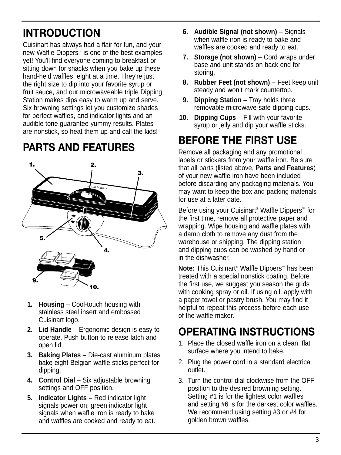# **INTRODUCTION**

Cuisinart has always had a flair for fun, and your new Waffle Dippers™ is one of the best examples yet! You'll find everyone coming to breakfast or sitting down for snacks when you bake up these hand-held waffles, eight at a time. They're just the right size to dip into your favorite syrup or fruit sauce, and our microwaveable triple Dipping Station makes dips easy to warm up and serve. Six browning settings let you customize shades for perfect waffles, and indicator lights and an audible tone guarantee yummy results. Plates are nonstick, so heat them up and call the kids!

# **PARTS AND FEATURES**



- **1. Housing** Cool-touch housing with stainless steel insert and embossed Cuisinart logo.
- **2. Lid Handle** Ergonomic design is easy to operate. Push button to release latch and open lid.
- **3. Baking Plates** Die-cast aluminum plates bake eight Belgian waffle sticks perfect for dipping.
- **4. Control Dial** Six adjustable browning settings and OFF position.
- **5. Indicator Lights** Red indicator light signals power on; green indicator light signals when waffle iron is ready to bake and waffles are cooked and ready to eat.
- **6. Audible Signal (not shown)** Signals when waffle iron is ready to bake and waffles are cooked and ready to eat.
- **7. Storage (not shown)** Cord wraps under base and unit stands on back end for storing.
- **8. Rubber Feet (not shown)** Feet keep unit steady and won't mark countertop.
- **9. Dipping Station** Tray holds three removable microwave-safe dipping cups.
- **10. Dipping Cups** Fill with your favorite syrup or jelly and dip your waffle sticks.

# **BEFORE THE FIRST USE**

Remove all packaging and any promotional labels or stickers from your waffle iron. Be sure that all parts (listed above, **Parts and Features**) of your new waffle iron have been included before discarding any packaging materials. You may want to keep the box and packing materials for use at a later date.

Before using your Cuisinart® Waffle Dippers™ for the first time, remove all protective paper and wrapping. Wipe housing and waffle plates with a damp cloth to remove any dust from the warehouse or shipping. The dipping station and dipping cups can be washed by hand or in the dishwasher.

**Note:** This Cuisinart® Waffle Dippers™ has been treated with a special nonstick coating. Before the first use, we suggest you season the grids with cooking spray or oil. If using oil, apply with a paper towel or pastry brush. You may find it helpful to repeat this process before each use of the waffle maker.

# **OPERATING INSTRUCTIONS**

- 1. Place the closed waffle iron on a clean, flat surface where you intend to bake.
- 2. Plug the power cord in a standard electrical outlet.
- 3. Turn the control dial clockwise from the OFF position to the desired browning setting. Setting #1 is for the lightest color waffles and setting #6 is for the darkest color waffles. We recommend using setting #3 or #4 for golden brown waffles.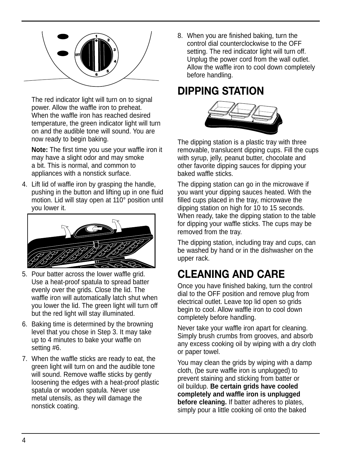

The red indicator light will turn on to signal power. Allow the waffle iron to preheat. When the waffle iron has reached desired temperature, the green indicator light will turn on and the audible tone will sound. You are now ready to begin baking.

**Note:** The first time you use your waffle iron it may have a slight odor and may smoke a bit. This is normal, and common to appliances with a nonstick surface.

4. Lift lid of waffle iron by grasping the handle, pushing in the button and lifting up in one fluid motion. Lid will stay open at 110° position until you lower it.



- 5. Pour batter across the lower waffle grid. Use a heat-proof spatula to spread batter evenly over the grids. Close the lid. The waffle iron will automatically latch shut when you lower the lid. The green light will turn off but the red light will stay illuminated.
- 6. Baking time is determined by the browning level that you chose in Step 3. It may take up to 4 minutes to bake your waffle on setting #6.
- 7. When the waffle sticks are ready to eat, the green light will turn on and the audible tone will sound. Remove waffle sticks by gently loosening the edges with a heat-proof plastic spatula or wooden spatula. Never use metal utensils, as they will damage the nonstick coating.

8. When you are finished baking, turn the control dial counterclockwise to the OFF setting. The red indicator light will turn off. Unplug the power cord from the wall outlet. Allow the waffle iron to cool down completely before handling.

# **DIPPING STATION**



The dipping station is a plastic tray with three removable, translucent dipping cups. Fill the cups with syrup, jelly, peanut butter, chocolate and other favorite dipping sauces for dipping your baked waffle sticks.

The dipping station can go in the microwave if you want your dipping sauces heated. With the filled cups placed in the tray, microwave the dipping station on high for 10 to 15 seconds. When ready, take the dipping station to the table for dipping your waffle sticks. The cups may be removed from the tray.

The dipping station, including tray and cups, can be washed by hand or in the dishwasher on the upper rack.

# **CLEANING AND CARE**

Once you have finished baking, turn the control dial to the OFF position and remove plug from electrical outlet. Leave top lid open so grids begin to cool. Allow waffle iron to cool down completely before handling.

Never take your waffle iron apart for cleaning. Simply brush crumbs from grooves, and absorb any excess cooking oil by wiping with a dry cloth or paper towel.

You may clean the grids by wiping with a damp cloth, (be sure waffle iron is unplugged) to prevent staining and sticking from batter or oil buildup. **Be certain grids have cooled completely and waffle iron is unplugged before cleaning.** If batter adheres to plates, simply pour a little cooking oil onto the baked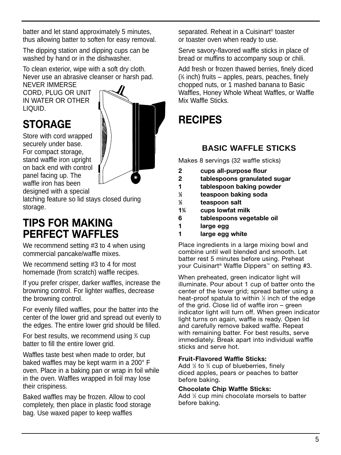batter and let stand approximately 5 minutes, thus allowing batter to soften for easy removal.

The dipping station and dipping cups can be washed by hand or in the dishwasher.

To clean exterior, wipe with a soft dry cloth. Never use an abrasive cleanser or harsh pad.

NEVER IMMERSE CORD, PLUG OR UNIT IN WATER OR OTHER LIQUID.

# **STORAGE**

Store with cord wrapped securely under base. For compact storage, stand waffle iron upright on back end with control panel facing up. The waffle iron has been designed with a special



latching feature so lid stays closed during storage.

### **TIPS FOR MAKING PERFECT WAFFLES**

We recommend setting #3 to 4 when using commercial pancake/waffle mixes.

We recommend setting #3 to 4 for most homemade (from scratch) waffle recipes.

If you prefer crisper, darker waffles, increase the browning control. For lighter waffles, decrease the browning control.

For evenly filled waffles, pour the batter into the center of the lower grid and spread out evenly to the edges. The entire lower grid should be filled.

For best results, we recommend using 34 cup batter to fill the entire lower grid.

Waffles taste best when made to order, but baked waffles may be kept warm in a 200° F oven. Place in a baking pan or wrap in foil while in the oven. Waffles wrapped in foil may lose their crispiness.

Baked waffles may be frozen. Allow to cool completely, then place in plastic food storage bag. Use waxed paper to keep waffles

separated. Reheat in a Cuisinart® toaster or toaster oven when ready to use.

Serve savory-flavored waffle sticks in place of bread or muffins to accompany soup or chili.

Add fresh or frozen thawed berries, finely diced ( 1 ⁄8 inch) fruits – apples, pears, peaches, finely chopped nuts, or 1 mashed banana to Basic Waffles, Honey Whole Wheat Waffles, or Waffle Mix Waffle Sticks.

# **RECIPES**

### **BASIC WAFFLE STICKS**

Makes 8 servings (32 waffle sticks)

- **2 cups all-purpose flour**
- **2 tablespoons granulated sugar**
- **1 tablespoon baking powder**
- **1 ⁄2 teaspoon baking soda**
- **1 ⁄2 teaspoon salt**
- **13 ⁄4 cups lowfat milk**
- **6 tablespoons vegetable oil**
- **1 large egg**
- **1 large egg white**

Place ingredients in a large mixing bowl and combine until well blended and smooth. Let batter rest 5 minutes before using. Preheat your Cuisinart® Waffle Dippers™ on setting #3.

When preheated, green indicator light will illuminate. Pour about 1 cup of batter onto the center of the lower grid; spread batter using a heat-proof spatula to within 1 ⁄2 inch of the edge of the grid. Close lid of waffle iron – green indicator light will turn off. When green indicator light turns on again, waffle is ready. Open lid and carefully remove baked waffle. Repeat with remaining batter. For best results, serve immediately. Break apart into individual waffle sticks and serve hot.

### **Fruit-Flavored Waffle Sticks:**

Add 1/2 to 34 cup of blueberries, finely diced apples, pears or peaches to batter before baking.

**Chocolate Chip Waffle Sticks:**

Add 1 ⁄2 cup mini chocolate morsels to batter before baking.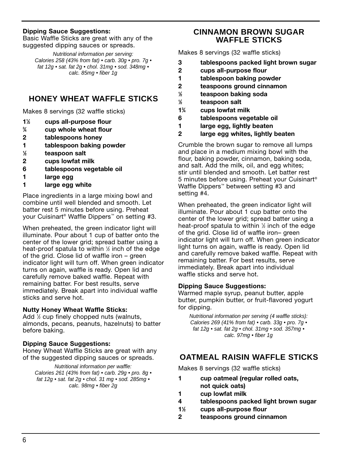### **Dipping Sauce Suggestions:**

Basic Waffle Sticks are great with any of the suggested dipping sauces or spreads.

Nutritional information per serving: Calories 258 (43% from fat) • carb. 30g • pro. 7g • fat 12g • sat. fat 2g • chol. 31mg • sod. 348mg • calc. 85mg • fiber 1g

### **HONEY WHEAT WAFFLE STICKS**

Makes 8 servings (32 waffle sticks)

- **11 ⁄2 cups all-purpose flour**
- **3 ⁄4 cup whole wheat flour**
- **2 tablespoons honey**
- **1 tablespoon baking powder**
- **1 ⁄2 teaspoon salt**
- **2 cups lowfat milk**
- **6 tablespoons vegetable oil**
- **1 large egg**
- **1 large egg white**

Place ingredients in a large mixing bowl and combine until well blended and smooth. Let batter rest 5 minutes before using. Preheat your Cuisinart® Waffle Dippers™ on setting #3.

When preheated, the green indicator light will illuminate. Pour about 1 cup of batter onto the center of the lower grid; spread batter using a heat-proof spatula to within 1 ⁄2 inch of the edge of the grid. Close lid of waffle iron – green indicator light will turn off. When green indicator turns on again, waffle is ready. Open lid and carefully remove baked waffle. Repeat with remaining batter. For best results, serve immediately. Break apart into individual waffle sticks and serve hot.

#### **Nutty Honey Wheat Waffle Sticks:**

Add 1 ⁄2 cup finely chopped nuts (walnuts, almonds, pecans, peanuts, hazelnuts) to batter before baking.

#### **Dipping Sauce Suggestions:**

Honey Wheat Waffle Sticks are great with any of the suggested dipping sauces or spreads.

Nutritional information per waffle: Calories 261 (43% from fat) • carb. 29g • pro. 8g • fat 12g • sat. fat 2g • chol. 31 mg • sod. 285mg • calc. 98mg • fiber 2g

### **CINNAMON BROWN SUGAR WAFFLE STICKS**

Makes 8 servings (32 waffle sticks)

- **3 tablespoons packed light brown sugar**
- **2 cups all-purpose flour**
- **1 tablespoon baking powder**
- **2 teaspoons ground cinnamon**
- **1 ⁄2 teaspoon baking soda**
- **1 ⁄2 teaspoon salt**
- **13 ⁄4 cups lowfat milk**
- **6 tablespoons vegetable oil**
- **1 large egg, lightly beaten**
- **2 large egg whites, lightly beaten**

Crumble the brown sugar to remove all lumps and place in a medium mixing bowl with the flour, baking powder, cinnamon, baking soda, and salt. Add the milk, oil, and egg whites; stir until blended and smooth. Let batter rest 5 minutes before using. Preheat your Cuisinart® Waffle Dippers™ between setting #3 and setting #4.

When preheated, the green indicator light will illuminate. Pour about 1 cup batter onto the center of the lower grid; spread batter using a heat-proof spatula to within 1 ⁄2 inch of the edge of the grid. Close lid of waffle iron– green indicator light will turn off. When green indicator light turns on again, waffle is ready. Open lid and carefully remove baked waffle. Repeat with remaining batter. For best results, serve immediately. Break apart into individual waffle sticks and serve hot.

#### **Dipping Sauce Suggestions:**

Warmed maple syrup, peanut butter, apple butter, pumpkin butter, or fruit-flavored yogurt for dipping.

Nutritional information per serving (4 waffle sticks): Calories 269 (41% from fat) • carb. 33g • pro. 7g • fat 12g • sat. fat 2g • chol. 31mg • sod. 357mg • calc. 97mg • fiber 1g

### **OATMEAL RAISIN WAFFLE STICKS**

Makes 8 servings (32 waffle sticks)

- **1 cup oatmeal (regular rolled oats, not quick oats)**
- **1 cup lowfat milk**
- **4 tablespoons packed light brown sugar**
- **11 ⁄2 cups all-purpose flour**
- **2 teaspoons ground cinnamon**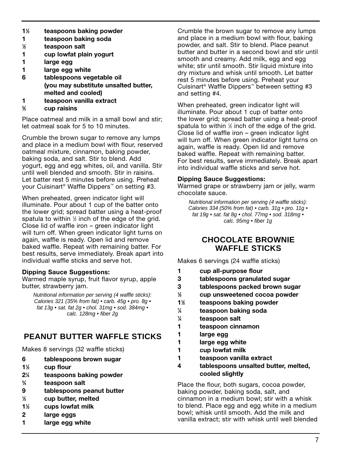- **11 ⁄2 teaspoons baking powder**
- **1 teaspoon baking soda**
- **1 ⁄2 teaspoon salt**
- **1 cup lowfat plain yogurt**
- **1 large egg**
- **1 large egg white**
- **6 tablespoons vegetable oil (you may substitute unsalted butter, melted and cooled)**
- **1 teaspoon vanilla extract**
- **2 ⁄3 cup raisins**

Place oatmeal and milk in a small bowl and stir; let oatmeal soak for 5 to 10 minutes.

Crumble the brown sugar to remove any lumps and place in a medium bowl with flour, reserved oatmeal mixture, cinnamon, baking powder, baking soda, and salt. Stir to blend. Add yogurt, egg and egg whites, oil, and vanilla. Stir until well blended and smooth. Stir in raisins. Let batter rest 5 minutes before using. Preheat your Cuisinart® Waffle Dippers™ on setting #3.

When preheated, green indicator light will illuminate. Pour about 1 cup of the batter onto the lower grid; spread batter using a heat-proof spatula to within 1 ⁄2 inch of the edge of the grid. Close lid of waffle iron – green indicator light will turn off. When green indicator light turns on again, waffle is ready. Open lid and remove baked waffle. Repeat with remaining batter. For best results, serve immediately. Break apart into individual waffle sticks and serve hot.

#### **Dipping Sauce Suggestions:**

Warmed maple syrup, fruit flavor syrup, apple butter, strawberry jam.

Nutritional information per serving (4 waffle sticks): Calories 321 (35% from fat) • carb. 45g • pro. 8g • fat  $13q \cdot sat.$  fat  $2q \cdot chol.$  31mg  $\cdot$  sod. 384mg  $\cdot$ calc. 128mg • fiber 2g

### **PEANUT BUTTER WAFFLE STICKS**

Makes 8 servings (32 waffle sticks)

- **6 tablespoons brown sugar**
- **11 ⁄2 cup flour**
- **21 ⁄4 teaspoons baking powder**
- **3 ⁄4 teaspoon salt**
- **9 tablespoons peanut butter**
- **1 ⁄3 cup butter, melted**
- **11 ⁄2 cups lowfat milk**
- **2 large eggs**
- **1 large egg white**

Crumble the brown sugar to remove any lumps and place in a medium bowl with flour, baking powder, and salt. Stir to blend. Place peanut butter and butter in a second bowl and stir until smooth and creamy. Add milk, egg and egg white; stir until smooth. Stir liquid mixture into dry mixture and whisk until smooth. Let batter rest 5 minutes before using. Preheat your Cuisinart® Waffle Dippers™ between setting #3 and setting #4.

When preheated, green indicator light will illuminate. Pour about 1 cup of batter onto the lower grid; spread batter using a heat-proof spatula to within 1 ⁄2 inch of the edge of the grid. Close lid of waffle iron – green indicator light will turn off. When green indicator light turns on again, waffle is ready. Open lid and remove baked waffle. Repeat with remaining batter. For best results, serve immediately. Break apart into individual waffle sticks and serve hot.

#### **Dipping Sauce Suggestions:**

Warmed grape or strawberry jam or jelly, warm chocolate sauce.

Nutritional information per serving (4 waffle sticks): Calories 334 (50% from fat) • carb. 31g • pro. 11g • fat 19g • sat. fat 8g • chol. 77mg • sod. 318mg • calc. 95mg • fiber 1g

### **CHOCOLATE BROWNIE WAFFLE STICKS**

Makes 6 servings (24 waffle sticks)

- **1 cup all-purpose flour**
- **3 tablespoons granulated sugar**
- **3 tablespoons packed brown sugar**
- **1 ⁄3 cup unsweetened cocoa powder**
- **11 ⁄2 teaspoons baking powder**
- **1 ⁄4 teaspoon baking soda**
- **1 ⁄4 teaspoon salt**
- **1 teaspoon cinnamon**
- **1 large egg**
- **1 large egg white**
- **1 cup lowfat milk**
- **1 teaspoon vanilla extract**
- **4 tablespoons unsalted butter, melted, cooled slightly**

Place the flour, both sugars, cocoa powder, baking powder, baking soda, salt, and cinnamon in a medium bowl; stir with a whisk to blend. Place egg and egg white in a medium bowl; whisk until smooth. Add the milk and vanilla extract; stir with whisk until well blended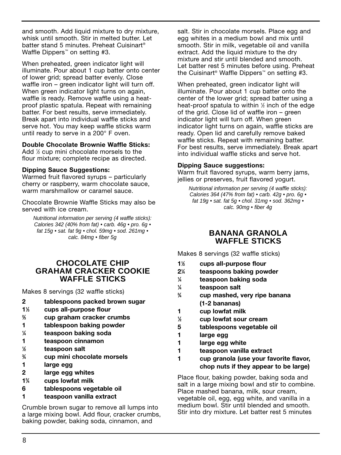and smooth. Add liquid mixture to dry mixture, whisk until smooth. Stir in melted butter. Let batter stand 5 minutes. Preheat Cuisinart® Waffle Dippers<sup>™</sup> on setting #3.

When preheated, green indicator light will illuminate. Pour about 1 cup batter onto center of lower grid; spread batter evenly. Close waffle iron – green indicator light will turn off. When green indicator light turns on again, waffle is ready. Remove waffle using a heatproof plastic spatula. Repeat with remaining batter. For best results, serve immediately. Break apart into individual waffle sticks and serve hot. You may keep waffle sticks warm until ready to serve in a 200° F oven.

#### **Double Chocolate Brownie Waffle Sticks:**

Add ½ cup mini chocolate morsels to the flour mixture; complete recipe as directed.

#### **Dipping Sauce Suggestions:**

Warmed fruit flavored syrups – particularly cherry or raspberry, warm chocolate sauce, warm marshmallow or caramel sauce.

Chocolate Brownie Waffle Sticks may also be served with ice cream.

Nutritional information per serving (4 waffle sticks): Calories 342 (40% from fat) • carb. 46g • pro. 6g • fat 15g • sat. fat 9g • chol. 59mg • sod. 261mg • calc. 84mg • fiber 5g

### **CHOCOLATE CHIP GRAHAM CRACKER COOKIE WAFFLE STICKS**

Makes 8 servings (32 waffle sticks)

- **2 tablespoons packed brown sugar**
- **11 ⁄3 cups all-purpose flour**
- **2 ⁄3 cup graham cracker crumbs**
- **1 tablespoon baking powder**
- **1 ⁄4 teaspoon baking soda**
- **1 teaspoon cinnamon**
- **1 ⁄2 teaspoon salt**
- **3 ⁄4 cup mini chocolate morsels**
- **1 large egg**
- **2 large egg whites**
- **13 ⁄4 cups lowfat milk**
- **6 tablespoons vegetable oil**
- **1 teaspoon vanilla extract**

Crumble brown sugar to remove all lumps into a large mixing bowl. Add flour, cracker crumbs, baking powder, baking soda, cinnamon, and

salt. Stir in chocolate morsels. Place egg and egg whites in a medium bowl and mix until smooth. Stir in milk, vegetable oil and vanilla extract. Add the liquid mixture to the dry mixture and stir until blended and smooth. Let batter rest 5 minutes before using. Preheat the Cuisinart® Waffle Dippers™ on setting #3.

When preheated, green indicator light will illuminate. Pour about 1 cup batter onto the center of the lower grid; spread batter using a heat-proof spatula to within 1 ⁄2 inch of the edge of the grid. Close lid of waffle iron – green indicator light will turn off. When green indicator light turns on again, waffle sticks are ready. Open lid and carefully remove baked waffle sticks. Repeat with remaining batter. For best results, serve immediately. Break apart into individual waffle sticks and serve hot.

#### **Dipping Sauce suggestions:**

Warm fruit flavored syrups, warm berry jams, jellies or preserves, fruit flavored yogurt.

Nutritional information per serving (4 waffle sticks): Calories 364 (47% from fat) • carb. 42q • pro. 6q • fat 19g • sat. fat 5g • chol. 31mg • sod. 362mg • calc. 90mg • fiber 4g

### **BANANA GRANOLA WAFFLE STICKS**

Makes 8 servings (32 waffle sticks)

- **11 ⁄2 cups all-purpose flour**
- **21 ⁄4 teaspoons baking powder**
- **1 ⁄4 teaspoon baking soda**
- **1 ⁄4 teaspoon salt 3**
- **⁄4 cup mashed, very ripe banana (1-2 bananas)**
- **1 cup lowfat milk**
- **1 ⁄2 cup lowfat sour cream**
- **5 tablespoons vegetable oil**
- **1 large egg**
- **1 large egg white**
- **1 teaspoon vanilla extract**
- **1 cup granola (use your favorite flavor, chop nuts if they appear to be large)**

Place flour, baking powder, baking soda and salt in a large mixing bowl and stir to combine. Place mashed banana, milk, sour cream, vegetable oil, egg, egg white, and vanilla in a medium bowl. Stir until blended and smooth. Stir into dry mixture. Let batter rest 5 minutes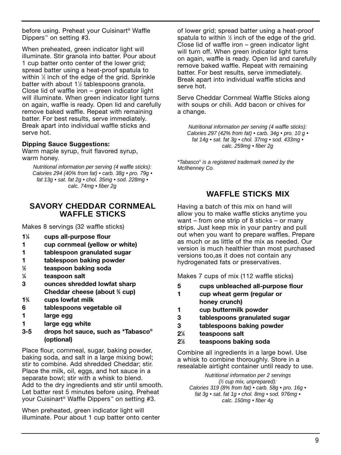before using. Preheat your Cuisinart® Waffle Dippers™ on setting #3.

When preheated, green indicator light will illuminate. Stir granola into batter. Pour about 1 cup batter onto center of the lower grid; spread batter using a heat-proof spatula to within 1 ⁄2 inch of the edge of the grid. Sprinkle batter with about 1<sup>1/2</sup> tablespoons granola. Close lid of waffle iron – green indicator light will illuminate. When green indicator light turns on again, waffle is ready. Open lid and carefully remove baked waffle. Repeat with remaining batter. For best results, serve immediately. Break apart into individual waffle sticks and serve hot.

#### **Dipping Sauce Suggestions:**

Warm maple syrup, fruit flavored syrup, warm honey.

Nutritional information per serving (4 waffle sticks): Calories 294 (40% from fat) • carb. 38g • pro. 79g • fat 13g • sat. fat 2g • chol. 35mg • sod. 228mg • calc. 74mg • fiber 2g

### **SAVORY CHEDDAR CORNMEAL WAFFLE STICKS**

Makes 8 servings (32 waffle sticks)

- **11 ⁄4 cups all-purpose flour**
- **1 cup cornmeal (yellow or white)**
- **1 tablespoon granulated sugar**
- **1 tablespoon baking powder**
- **1 ⁄2 teaspoon baking soda**
- **1 ⁄4 teaspoon salt**
- **3 ounces shredded lowfat sharp Cheddar cheese (about 3 ⁄4 cup)**
- **13 ⁄4 cups lowfat milk**
- **6 tablespoons vegetable oil**
- **1 large egg**
- **1 large egg white**
- **3-5 drops hot sauce, such as \*Tabasco® (optional)**

Place flour, cornmeal, sugar, baking powder, baking soda, and salt in a large mixing bowl; stir to combine. Add shredded Cheddar; stir. Place the milk, oil, eggs, and hot sauce in a separate bowl; stir with a whisk to blend. Add to the dry ingredients and stir until smooth. Let batter rest 5 minutes before using. Preheat your Cuisinart® Waffle Dippers™ on setting #3.

When preheated, green indicator light will illuminate. Pour about 1 cup batter onto center of lower grid; spread batter using a heat-proof spatula to within  $\frac{1}{2}$  inch of the edge of the grid. Close lid of waffle iron – green indicator light will turn off. When green indicator light turns on again, waffle is ready. Open lid and carefully remove baked waffle. Repeat with remaining batter. For best results, serve immediately. Break apart into individual waffle sticks and serve hot.

Serve Cheddar Cornmeal Waffle Sticks along with soups or chili. Add bacon or chives for a change.

Nutritional information per serving (4 waffle sticks): Calories 297 (42% from fat) • carb. 34g • pro. 10 g • fat 14g • sat. fat 3g • chol. 37mg • sod. 433mg • calc. 259mg • fiber 2g

\*Tabasco® is a registered trademark owned by the McIlhenney Co.

### **WAFFLE STICKS MIX**

Having a batch of this mix on hand will allow you to make waffle sticks anytime you want – from one strip of 8 sticks – or many strips. Just keep mix in your pantry and pull out when you want to prepare waffles. Prepare as much or as little of the mix as needed. Our version is much healthier than most purchased versions too,as it does not contain any hydrogenated fats or preservatives.

Makes 7 cups of mix (112 waffle sticks)

- **5 cups unbleached all-purpose flour**
- **1 cup wheat germ (regular or honey crunch)**
- **1 cup buttermilk powder**
- **3 tablespoons granulated sugar**
- **3 tablespoons baking powder**
- **21 ⁄4 teaspoons salt**
- **21 ⁄2 teaspoons baking soda**

Combine all ingredients in a large bowl. Use a whisk to combine thoroughly. Store in a resealable airtight container until ready to use.

Nutritional information per 2 servings ( 1 ⁄2 cup mix, unprepared): Calories 319 (8% from fat) • carb. 58g • pro. 16g • fat 3g • sat. fat 1g • chol. 8mg • sod. 976mg • calc. 150mg • fiber 4g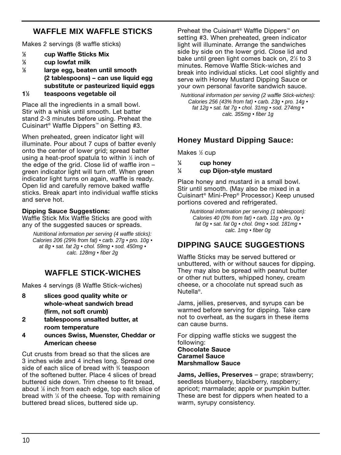### **WAFFLE MIX WAFFLE STICKS**

Makes 2 servings (8 waffle sticks)

- **1 ⁄2 cup Waffle Sticks Mix**
- **1 ⁄3 cup lowfat milk**
- **1 ⁄2 large egg, beaten until smooth (2 tablespoons) – can use liquid egg substitute or pasteurized liquid eggs**
- **11 ⁄2 teaspoons vegetable oil**

Place all the ingredients in a small bowl. Stir with a whisk until smooth. Let batter stand 2-3 minutes before using. Preheat the Cuisinart® Waffle Dippers™ on Setting #3.

When preheated, green indicator light will illuminate. Pour about 7 cups of batter evenly onto the center of lower grid; spread batter using a heat-proof spatula to within 1 ⁄2 inch of the edge of the grid. Close lid of waffle iron – green indicator light will turn off. When green indicator light turns on again, waffle is ready. Open lid and carefully remove baked waffle sticks. Break apart into individual waffle sticks and serve hot.

### **Dipping Sauce Suggestions:**

Waffle Stick Mix Waffle Sticks are good with any of the suggested sauces or spreads.

Nutritional information per serving (4 waffle sticks): Calories 206 (29% from fat) • carb. 27g • pro. 10g • at 8q  $\cdot$  sat. fat 2q  $\cdot$  chol. 59mq  $\cdot$  sod. 450mq  $\cdot$ calc. 128mg • fiber 2g

### **WAFFLE STICK-WICHES**

Makes 4 servings (8 Waffle Stick-wiches)

- **8 slices good quality white or whole-wheat sandwich bread (firm, not soft crumb)**
- **2 tablespoons unsalted butter, at room temperature**
- **4 ounces Swiss, Muenster, Cheddar or American cheese**

Cut crusts from bread so that the slices are 3 inches wide and 4 inches long. Spread one side of each slice of bread with  $\frac{3}{4}$  teaspoon of the softened butter. Place 4 slices of bread buttered side down. Trim cheese to fit bread, about 1 ⁄8 inch from each edge, top each slice of bread with 1 ⁄4 of the cheese. Top with remaining buttered bread slices, buttered side up.

Preheat the Cuisinart® Waffle Dippers™ on setting #3. When preheated, green indicator light will illuminate. Arrange the sandwiches side by side on the lower grid. Close lid and bake until green light comes back on, 2½ to 3 minutes. Remove Waffle Stick-wiches and break into individual sticks. Let cool slightly and serve with Honey Mustard Dipping Sauce or your own personal favorite sandwich sauce.

Nutritional information per serving (2 waffle Stick-wiches): Calories 256 (43% from fat) • carb. 23g • pro. 14g • fat 12g • sat. fat 7g • chol. 31mg • sod. 274mg • calc. 355mg • fiber 1g

### **Honey Mustard Dipping Sauce:**

Makes 1 ⁄2 cup

- **1 ⁄4 cup honey**
- **1 ⁄4 cup Dijon-style mustard**

Place honey and mustard in a small bowl. Stir until smooth. (May also be mixed in a Cuisinart® Mini-Prep® Processor.) Keep unused portions covered and refrigerated.

Nutritional information per serving (1 tablespoon): Calories 40 (0% from fat) • carb. 11g • pro. 0g • fat 0g • sat. fat 0g • chol. 0mg • sod. 181mg • calc. 1mg • fiber 0g

### **DIPPING SAUCE SUGGESTIONS**

Waffle Sticks may be served buttered or unbuttered, with or without sauces for dipping. They may also be spread with peanut butter or other nut butters, whipped honey, cream cheese, or a chocolate nut spread such as Nutella®.

Jams, jellies, preserves, and syrups can be warmed before serving for dipping. Take care not to overheat, as the sugars in these items can cause burns.

For dipping waffle sticks we suggest the following: **Chocolate Sauce Caramel Sauce**

**Marshmallow Sauce**

**Jams, Jellies, Preserves** – grape; strawberry; seedless blueberry, blackberry, raspberry; apricot; marmalade; apple or pumpkin butter. These are best for dippers when heated to a warm, syrupy consistency.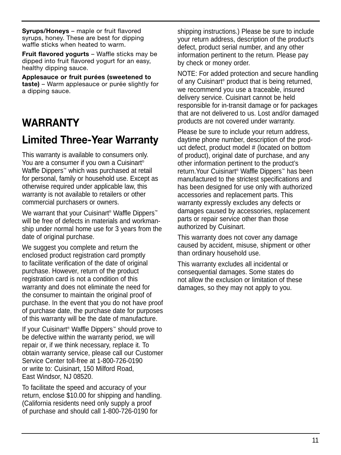**Syrups/Honeys** – maple or fruit flavored syrups, honey. These are best for dipping waffle sticks when heated to warm.

**Fruit flavored yogurts** – Waffle sticks may be dipped into fruit flavored yogurt for an easy, healthy dipping sauce.

**Applesauce or fruit purées (sweetened to taste)** – Warm applesauce or purée slightly for a dipping sauce.

## **WARRANTY**

## **Limited Three-Year Warranty**

This warranty is available to consumers only. You are a consumer if you own a Cuisinart<sup>®</sup> Waffle Dippers™ which was purchased at retail for personal, family or household use. Except as otherwise required under applicable law, this warranty is not available to retailers or other commercial purchasers or owners.

We warrant that your Cuisinart<sup>®</sup> Waffle Dippers<sup>™</sup> will be free of defects in materials and workmanship under normal home use for 3 years from the date of original purchase.

We suggest you complete and return the enclosed product registration card promptly to facilitate verification of the date of original purchase. However, return of the product registration card is not a condition of this warranty and does not eliminate the need for the consumer to maintain the original proof of purchase. In the event that you do not have proof of purchase date, the purchase date for purposes of this warranty will be the date of manufacture.

If your Cuisinart® Waffle Dippers™ should prove to be defective within the warranty period, we will repair or, if we think necessary, replace it. To obtain warranty service, please call our Customer Service Center toll-free at 1-800-726-0190 or write to: Cuisinart, 150 Milford Road, East Windsor, NJ 08520.

To facilitate the speed and accuracy of your return, enclose \$10.00 for shipping and handling. (California residents need only supply a proof of purchase and should call 1-800-726-0190 for

shipping instructions.) Please be sure to include your return address, description of the product's defect, product serial number, and any other information pertinent to the return. Please pay by check or money order.

NOTE: For added protection and secure handling of any Cuisinart® product that is being returned, we recommend you use a traceable, insured delivery service. Cuisinart cannot be held responsible for in-transit damage or for packages that are not delivered to us. Lost and/or damaged products are not covered under warranty.

Please be sure to include your return address, daytime phone number, description of the product defect, product model # (located on bottom of product), original date of purchase, and any other information pertinent to the product's return.Your Cuisinart® Waffle Dippers™ has been manufactured to the strictest specifications and has been designed for use only with authorized accessories and replacement parts. This warranty expressly excludes any defects or damages caused by accessories, replacement parts or repair service other than those authorized by Cuisinart.

This warranty does not cover any damage caused by accident, misuse, shipment or other than ordinary household use.

This warranty excludes all incidental or consequential damages. Some states do not allow the exclusion or limitation of these damages, so they may not apply to you.